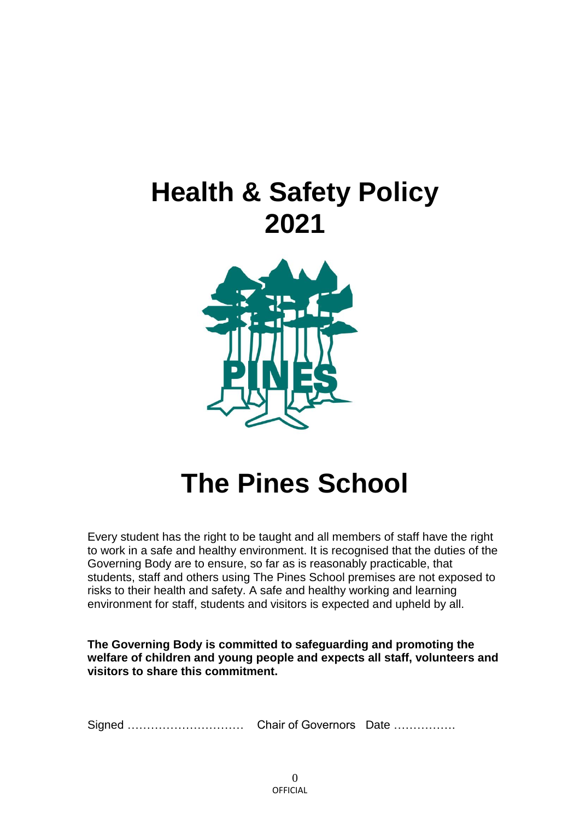# **Health & Safety Policy 2021**



# **The Pines School**

Every student has the right to be taught and all members of staff have the right to work in a safe and healthy environment. It is recognised that the duties of the Governing Body are to ensure, so far as is reasonably practicable, that students, staff and others using The Pines School premises are not exposed to risks to their health and safety. A safe and healthy working and learning environment for staff, students and visitors is expected and upheld by all.

**The Governing Body is committed to safeguarding and promoting the welfare of children and young people and expects all staff, volunteers and visitors to share this commitment.**

Signed ………………………… Chair of Governors Date …………….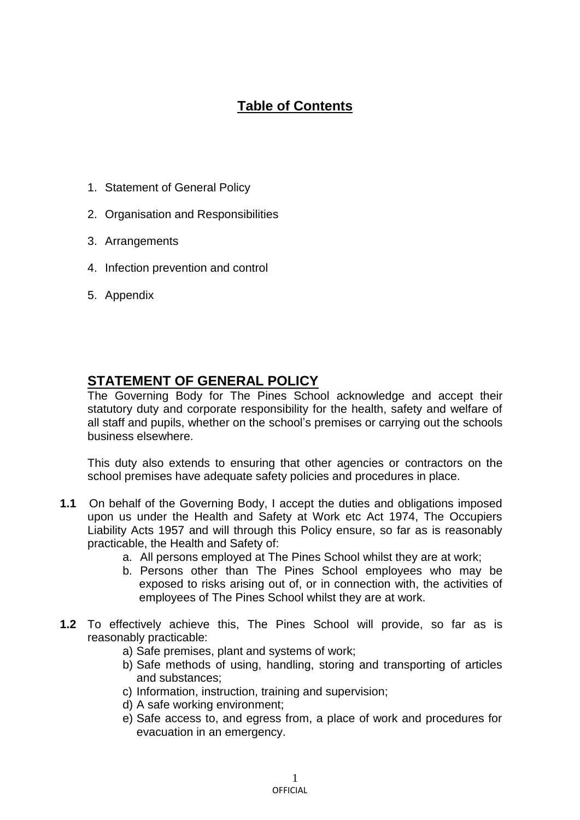# **Table of Contents**

- 1. Statement of General Policy
- 2. Organisation and Responsibilities
- 3. Arrangements
- 4. Infection prevention and control
- 5. Appendix

# **STATEMENT OF GENERAL POLICY**

The Governing Body for The Pines School acknowledge and accept their statutory duty and corporate responsibility for the health, safety and welfare of all staff and pupils, whether on the school's premises or carrying out the schools business elsewhere.

This duty also extends to ensuring that other agencies or contractors on the school premises have adequate safety policies and procedures in place.

- **1.1** On behalf of the Governing Body, I accept the duties and obligations imposed upon us under the Health and Safety at Work etc Act 1974, The Occupiers Liability Acts 1957 and will through this Policy ensure, so far as is reasonably practicable, the Health and Safety of:
	- a. All persons employed at The Pines School whilst they are at work;
	- b. Persons other than The Pines School employees who may be exposed to risks arising out of, or in connection with, the activities of employees of The Pines School whilst they are at work.
- **1.2** To effectively achieve this, The Pines School will provide, so far as is reasonably practicable:
	- a) Safe premises, plant and systems of work;
	- b) Safe methods of using, handling, storing and transporting of articles and substances;
	- c) Information, instruction, training and supervision;
	- d) A safe working environment;
	- e) Safe access to, and egress from, a place of work and procedures for evacuation in an emergency.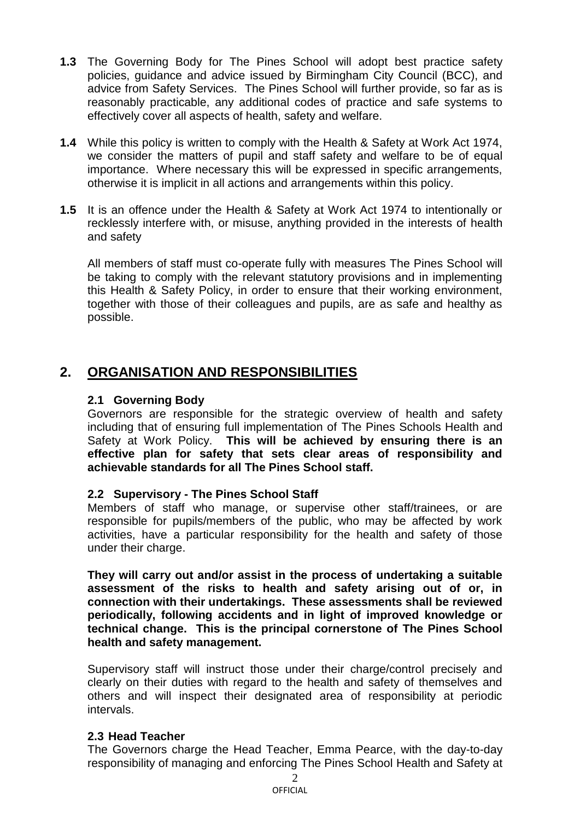- **1.3** The Governing Body for The Pines School will adopt best practice safety policies, guidance and advice issued by Birmingham City Council (BCC), and advice from Safety Services. The Pines School will further provide, so far as is reasonably practicable, any additional codes of practice and safe systems to effectively cover all aspects of health, safety and welfare.
- **1.4** While this policy is written to comply with the Health & Safety at Work Act 1974, we consider the matters of pupil and staff safety and welfare to be of equal importance. Where necessary this will be expressed in specific arrangements, otherwise it is implicit in all actions and arrangements within this policy.
- **1.5** It is an offence under the Health & Safety at Work Act 1974 to intentionally or recklessly interfere with, or misuse, anything provided in the interests of health and safety

All members of staff must co-operate fully with measures The Pines School will be taking to comply with the relevant statutory provisions and in implementing this Health & Safety Policy, in order to ensure that their working environment, together with those of their colleagues and pupils, are as safe and healthy as possible.

# **2. ORGANISATION AND RESPONSIBILITIES**

#### **2.1 Governing Body**

Governors are responsible for the strategic overview of health and safety including that of ensuring full implementation of The Pines Schools Health and Safety at Work Policy. **This will be achieved by ensuring there is an effective plan for safety that sets clear areas of responsibility and achievable standards for all The Pines School staff.**

# **2.2 Supervisory - The Pines School Staff**

Members of staff who manage, or supervise other staff/trainees, or are responsible for pupils/members of the public, who may be affected by work activities, have a particular responsibility for the health and safety of those under their charge.

**They will carry out and/or assist in the process of undertaking a suitable assessment of the risks to health and safety arising out of or, in connection with their undertakings. These assessments shall be reviewed periodically, following accidents and in light of improved knowledge or technical change. This is the principal cornerstone of The Pines School health and safety management.**

Supervisory staff will instruct those under their charge/control precisely and clearly on their duties with regard to the health and safety of themselves and others and will inspect their designated area of responsibility at periodic intervals.

# **2.3 Head Teacher**

The Governors charge the Head Teacher, Emma Pearce, with the day-to-day responsibility of managing and enforcing The Pines School Health and Safety at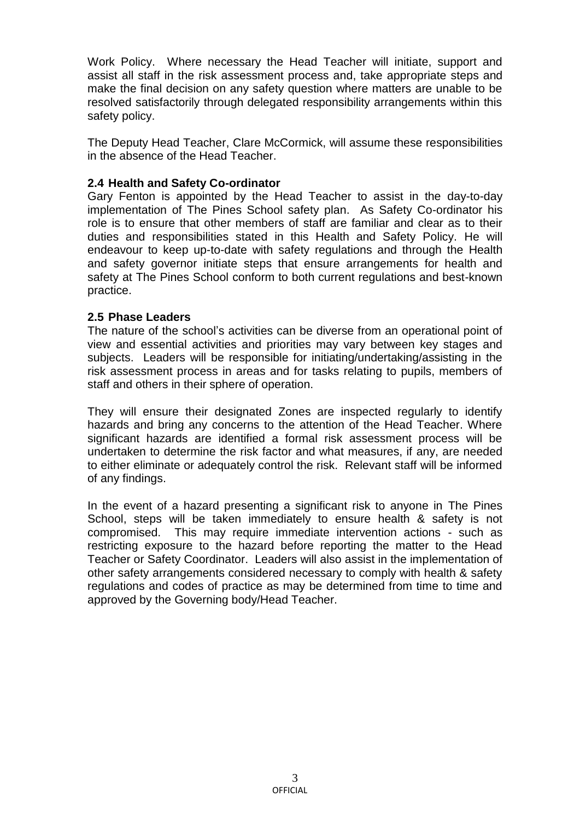Work Policy. Where necessary the Head Teacher will initiate, support and assist all staff in the risk assessment process and, take appropriate steps and make the final decision on any safety question where matters are unable to be resolved satisfactorily through delegated responsibility arrangements within this safety policy.

The Deputy Head Teacher, Clare McCormick, will assume these responsibilities in the absence of the Head Teacher.

#### **2.4 Health and Safety Co-ordinator**

Gary Fenton is appointed by the Head Teacher to assist in the day-to-day implementation of The Pines School safety plan. As Safety Co-ordinator his role is to ensure that other members of staff are familiar and clear as to their duties and responsibilities stated in this Health and Safety Policy. He will endeavour to keep up-to-date with safety regulations and through the Health and safety governor initiate steps that ensure arrangements for health and safety at The Pines School conform to both current regulations and best-known practice.

#### **2.5 Phase Leaders**

The nature of the school's activities can be diverse from an operational point of view and essential activities and priorities may vary between key stages and subjects. Leaders will be responsible for initiating/undertaking/assisting in the risk assessment process in areas and for tasks relating to pupils, members of staff and others in their sphere of operation.

They will ensure their designated Zones are inspected regularly to identify hazards and bring any concerns to the attention of the Head Teacher. Where significant hazards are identified a formal risk assessment process will be undertaken to determine the risk factor and what measures, if any, are needed to either eliminate or adequately control the risk. Relevant staff will be informed of any findings.

In the event of a hazard presenting a significant risk to anyone in The Pines School, steps will be taken immediately to ensure health & safety is not compromised. This may require immediate intervention actions - such as restricting exposure to the hazard before reporting the matter to the Head Teacher or Safety Coordinator. Leaders will also assist in the implementation of other safety arrangements considered necessary to comply with health & safety regulations and codes of practice as may be determined from time to time and approved by the Governing body/Head Teacher.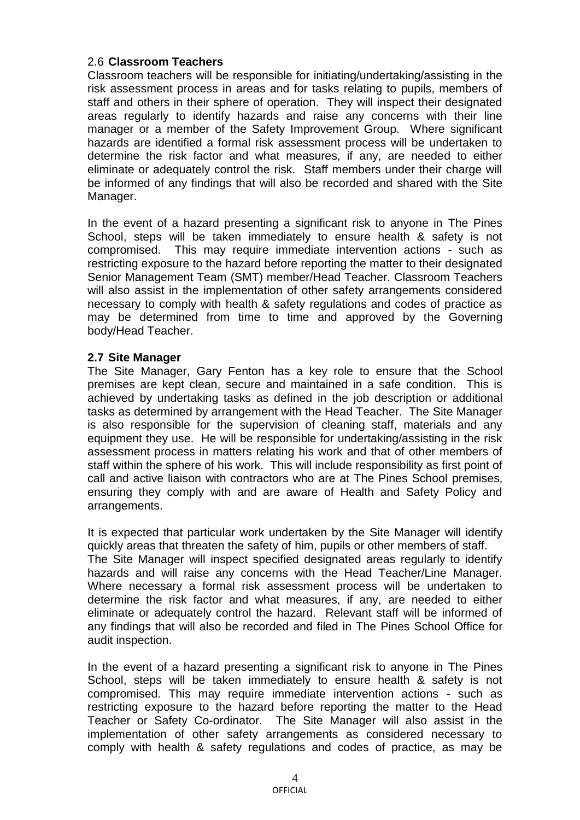### 2.6 **Classroom Teachers**

Classroom teachers will be responsible for initiating/undertaking/assisting in the risk assessment process in areas and for tasks relating to pupils, members of staff and others in their sphere of operation. They will inspect their designated areas regularly to identify hazards and raise any concerns with their line manager or a member of the Safety Improvement Group. Where significant hazards are identified a formal risk assessment process will be undertaken to determine the risk factor and what measures, if any, are needed to either eliminate or adequately control the risk. Staff members under their charge will be informed of any findings that will also be recorded and shared with the Site Manager.

In the event of a hazard presenting a significant risk to anyone in The Pines School, steps will be taken immediately to ensure health & safety is not compromised. This may require immediate intervention actions - such as restricting exposure to the hazard before reporting the matter to their designated Senior Management Team (SMT) member/Head Teacher. Classroom Teachers will also assist in the implementation of other safety arrangements considered necessary to comply with health & safety regulations and codes of practice as may be determined from time to time and approved by the Governing body/Head Teacher.

#### **2.7 Site Manager**

The Site Manager, Gary Fenton has a key role to ensure that the School premises are kept clean, secure and maintained in a safe condition. This is achieved by undertaking tasks as defined in the job description or additional tasks as determined by arrangement with the Head Teacher. The Site Manager is also responsible for the supervision of cleaning staff, materials and any equipment they use. He will be responsible for undertaking/assisting in the risk assessment process in matters relating his work and that of other members of staff within the sphere of his work. This will include responsibility as first point of call and active liaison with contractors who are at The Pines School premises, ensuring they comply with and are aware of Health and Safety Policy and arrangements.

It is expected that particular work undertaken by the Site Manager will identify quickly areas that threaten the safety of him, pupils or other members of staff. The Site Manager will inspect specified designated areas regularly to identify hazards and will raise any concerns with the Head Teacher/Line Manager. Where necessary a formal risk assessment process will be undertaken to determine the risk factor and what measures, if any, are needed to either eliminate or adequately control the hazard. Relevant staff will be informed of any findings that will also be recorded and filed in The Pines School Office for audit inspection.

In the event of a hazard presenting a significant risk to anyone in The Pines School, steps will be taken immediately to ensure health & safety is not compromised. This may require immediate intervention actions - such as restricting exposure to the hazard before reporting the matter to the Head Teacher or Safety Co-ordinator. The Site Manager will also assist in the implementation of other safety arrangements as considered necessary to comply with health & safety regulations and codes of practice, as may be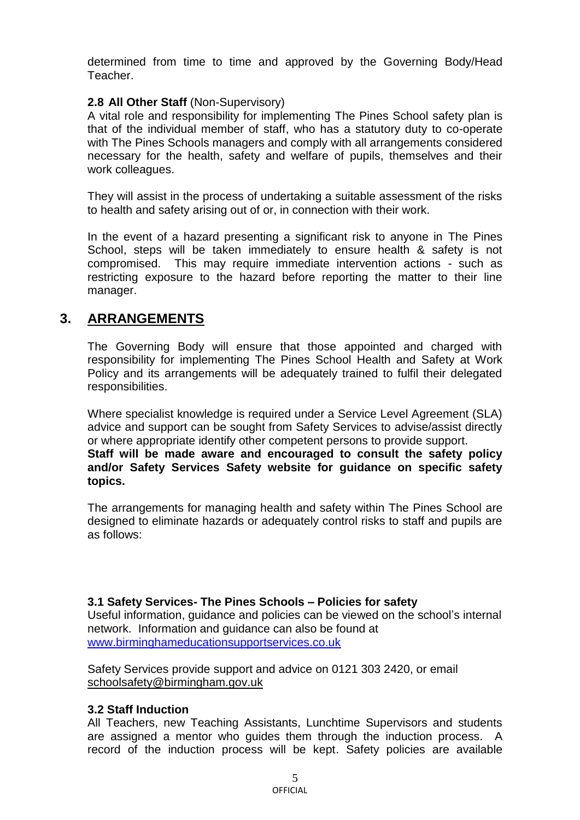determined from time to time and approved by the Governing Body/Head Teacher.

#### **2.8 All Other Staff** (Non-Supervisory)

A vital role and responsibility for implementing The Pines School safety plan is that of the individual member of staff, who has a statutory duty to co-operate with The Pines Schools managers and comply with all arrangements considered necessary for the health, safety and welfare of pupils, themselves and their work colleagues.

They will assist in the process of undertaking a suitable assessment of the risks to health and safety arising out of or, in connection with their work.

In the event of a hazard presenting a significant risk to anyone in The Pines School, steps will be taken immediately to ensure health & safety is not compromised. This may require immediate intervention actions - such as restricting exposure to the hazard before reporting the matter to their line manager.

# **3. ARRANGEMENTS**

The Governing Body will ensure that those appointed and charged with responsibility for implementing The Pines School Health and Safety at Work Policy and its arrangements will be adequately trained to fulfil their delegated responsibilities.

Where specialist knowledge is required under a Service Level Agreement (SLA) advice and support can be sought from Safety Services to advise/assist directly or where appropriate identify other competent persons to provide support. **Staff will be made aware and encouraged to consult the safety policy and/or Safety Services Safety website for guidance on specific safety topics.**

The arrangements for managing health and safety within The Pines School are designed to eliminate hazards or adequately control risks to staff and pupils are as follows:

#### **3.1 Safety Services- The Pines Schools – Policies for safety**

Useful information, guidance and policies can be viewed on the school's internal network. Information and guidance can also be found at [www.birminghameducationsupportservices.co.uk](http://www.birminghameducationsupportservices.co.uk/)

Safety Services provide support and advice on 0121 303 2420, or email [schoolsafety@birmingham.gov.uk](mailto:schoolsafety@birmingham.gov.uk)

#### **3.2 Staff Induction**

All Teachers, new Teaching Assistants, Lunchtime Supervisors and students are assigned a mentor who guides them through the induction process. A record of the induction process will be kept. Safety policies are available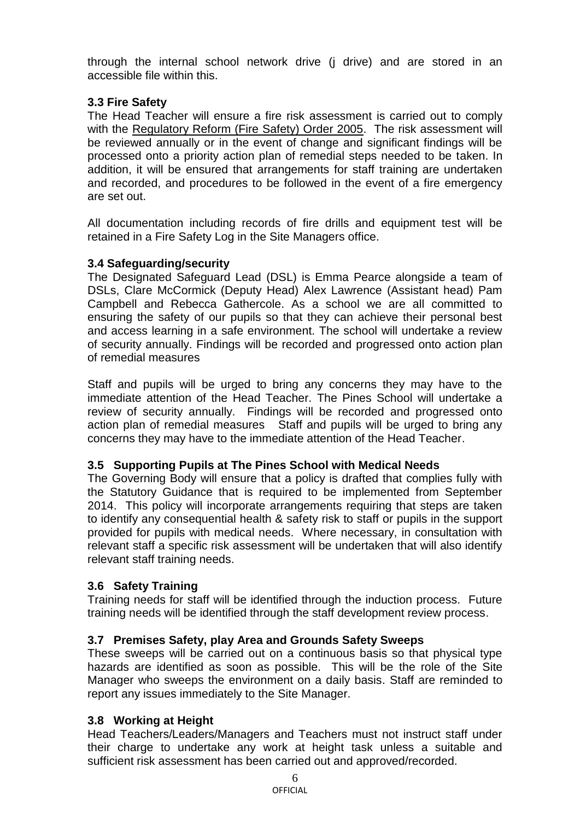through the internal school network drive (j drive) and are stored in an accessible file within this.

# **3.3 Fire Safety**

The Head Teacher will ensure a fire risk assessment is carried out to comply with the Regulatory Reform (Fire Safety) Order 2005. The risk assessment will be reviewed annually or in the event of change and significant findings will be processed onto a priority action plan of remedial steps needed to be taken. In addition, it will be ensured that arrangements for staff training are undertaken and recorded, and procedures to be followed in the event of a fire emergency are set out.

All documentation including records of fire drills and equipment test will be retained in a Fire Safety Log in the Site Managers office.

# **3.4 Safeguarding/security**

The Designated Safeguard Lead (DSL) is Emma Pearce alongside a team of DSLs, Clare McCormick (Deputy Head) Alex Lawrence (Assistant head) Pam Campbell and Rebecca Gathercole. As a school we are all committed to ensuring the safety of our pupils so that they can achieve their personal best and access learning in a safe environment. The school will undertake a review of security annually. Findings will be recorded and progressed onto action plan of remedial measures

Staff and pupils will be urged to bring any concerns they may have to the immediate attention of the Head Teacher. The Pines School will undertake a review of security annually. Findings will be recorded and progressed onto action plan of remedial measures Staff and pupils will be urged to bring any concerns they may have to the immediate attention of the Head Teacher.

# **3.5 Supporting Pupils at The Pines School with Medical Needs**

The Governing Body will ensure that a policy is drafted that complies fully with the Statutory Guidance that is required to be implemented from September 2014. This policy will incorporate arrangements requiring that steps are taken to identify any consequential health & safety risk to staff or pupils in the support provided for pupils with medical needs. Where necessary, in consultation with relevant staff a specific risk assessment will be undertaken that will also identify relevant staff training needs.

# **3.6 Safety Training**

Training needs for staff will be identified through the induction process. Future training needs will be identified through the staff development review process.

# **3.7 Premises Safety, play Area and Grounds Safety Sweeps**

These sweeps will be carried out on a continuous basis so that physical type hazards are identified as soon as possible. This will be the role of the Site Manager who sweeps the environment on a daily basis. Staff are reminded to report any issues immediately to the Site Manager.

# **3.8 Working at Height**

Head Teachers/Leaders/Managers and Teachers must not instruct staff under their charge to undertake any work at height task unless a suitable and sufficient risk assessment has been carried out and approved/recorded.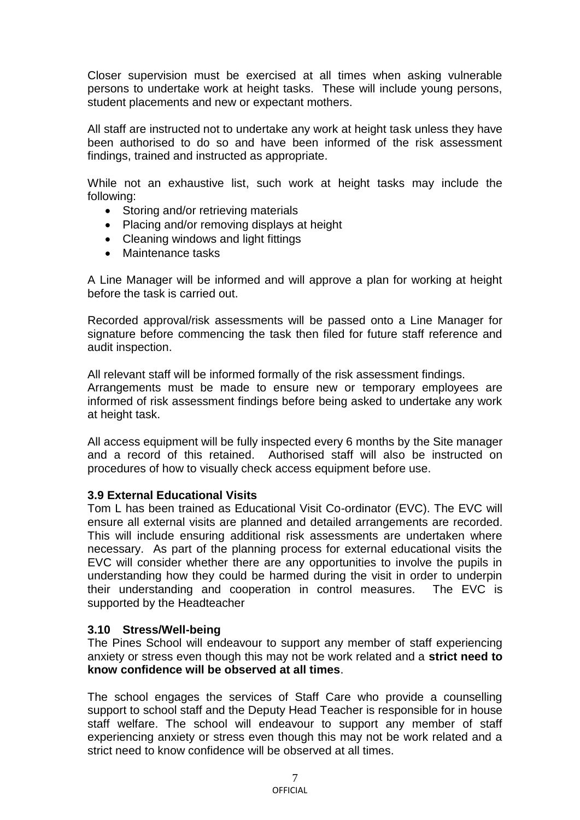Closer supervision must be exercised at all times when asking vulnerable persons to undertake work at height tasks. These will include young persons, student placements and new or expectant mothers.

All staff are instructed not to undertake any work at height task unless they have been authorised to do so and have been informed of the risk assessment findings, trained and instructed as appropriate.

While not an exhaustive list, such work at height tasks may include the following:

- Storing and/or retrieving materials
- Placing and/or removing displays at height
- Cleaning windows and light fittings
- Maintenance tasks

A Line Manager will be informed and will approve a plan for working at height before the task is carried out.

Recorded approval/risk assessments will be passed onto a Line Manager for signature before commencing the task then filed for future staff reference and audit inspection.

All relevant staff will be informed formally of the risk assessment findings. Arrangements must be made to ensure new or temporary employees are informed of risk assessment findings before being asked to undertake any work at height task.

All access equipment will be fully inspected every 6 months by the Site manager and a record of this retained. Authorised staff will also be instructed on procedures of how to visually check access equipment before use.

#### **3.9 External Educational Visits**

Tom L has been trained as Educational Visit Co-ordinator (EVC). The EVC will ensure all external visits are planned and detailed arrangements are recorded. This will include ensuring additional risk assessments are undertaken where necessary. As part of the planning process for external educational visits the EVC will consider whether there are any opportunities to involve the pupils in understanding how they could be harmed during the visit in order to underpin their understanding and cooperation in control measures. The EVC is supported by the Headteacher

#### **3.10 Stress/Well-being**

The Pines School will endeavour to support any member of staff experiencing anxiety or stress even though this may not be work related and a **strict need to know confidence will be observed at all times**.

The school engages the services of Staff Care who provide a counselling support to school staff and the Deputy Head Teacher is responsible for in house staff welfare. The school will endeavour to support any member of staff experiencing anxiety or stress even though this may not be work related and a strict need to know confidence will be observed at all times.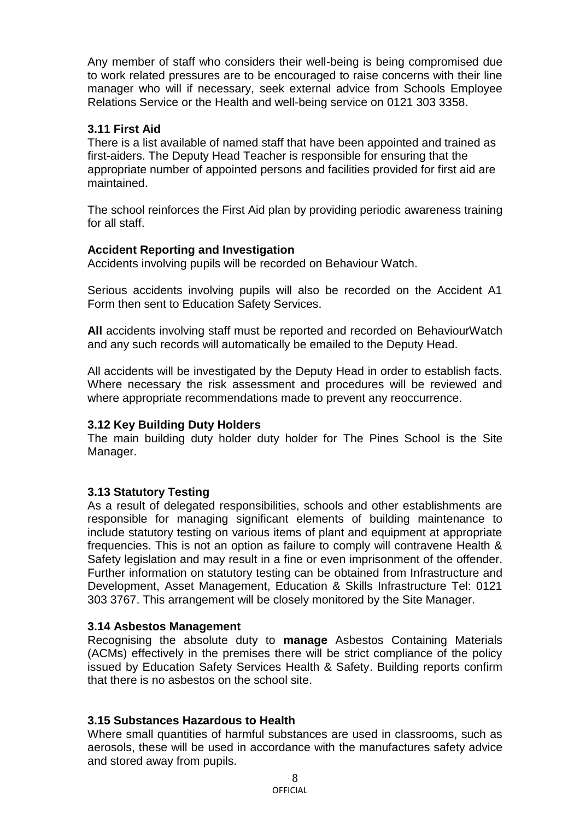Any member of staff who considers their well-being is being compromised due to work related pressures are to be encouraged to raise concerns with their line manager who will if necessary, seek external advice from Schools Employee Relations Service or the Health and well-being service on 0121 303 3358.

#### **3.11 First Aid**

There is a list available of named staff that have been appointed and trained as first-aiders. The Deputy Head Teacher is responsible for ensuring that the appropriate number of appointed persons and facilities provided for first aid are maintained.

The school reinforces the First Aid plan by providing periodic awareness training for all staff.

#### **Accident Reporting and Investigation**

Accidents involving pupils will be recorded on Behaviour Watch.

Serious accidents involving pupils will also be recorded on the Accident A1 Form then sent to Education Safety Services.

**All** accidents involving staff must be reported and recorded on BehaviourWatch and any such records will automatically be emailed to the Deputy Head.

All accidents will be investigated by the Deputy Head in order to establish facts. Where necessary the risk assessment and procedures will be reviewed and where appropriate recommendations made to prevent any reoccurrence.

#### **3.12 Key Building Duty Holders**

The main building duty holder duty holder for The Pines School is the Site Manager.

#### **3.13 Statutory Testing**

As a result of delegated responsibilities, schools and other establishments are responsible for managing significant elements of building maintenance to include statutory testing on various items of plant and equipment at appropriate frequencies. This is not an option as failure to comply will contravene Health & Safety legislation and may result in a fine or even imprisonment of the offender. Further information on statutory testing can be obtained from Infrastructure and Development, Asset Management, Education & Skills Infrastructure Tel: 0121 303 3767. This arrangement will be closely monitored by the Site Manager.

#### **3.14 Asbestos Management**

Recognising the absolute duty to **manage** Asbestos Containing Materials (ACMs) effectively in the premises there will be strict compliance of the policy issued by Education Safety Services Health & Safety. Building reports confirm that there is no asbestos on the school site.

#### **3.15 Substances Hazardous to Health**

Where small quantities of harmful substances are used in classrooms, such as aerosols, these will be used in accordance with the manufactures safety advice and stored away from pupils.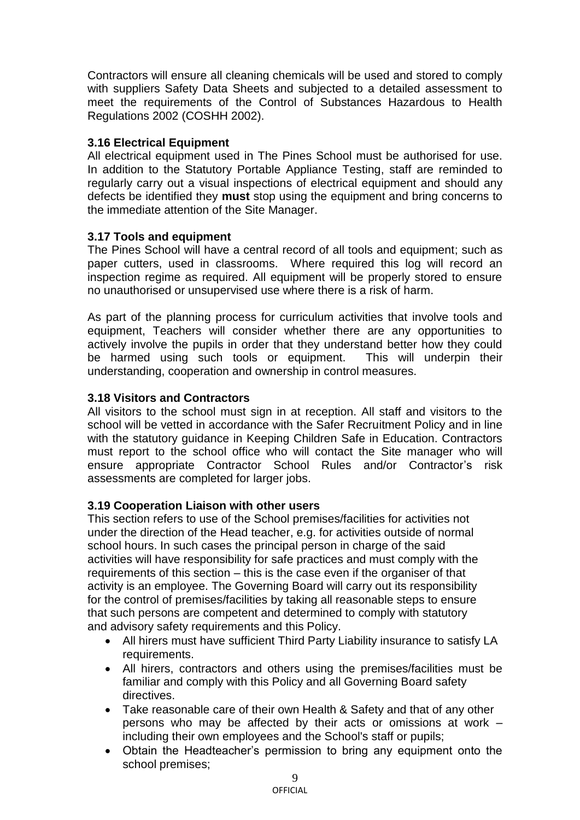Contractors will ensure all cleaning chemicals will be used and stored to comply with suppliers Safety Data Sheets and subjected to a detailed assessment to meet the requirements of the Control of Substances Hazardous to Health Regulations 2002 (COSHH 2002).

#### **3.16 Electrical Equipment**

All electrical equipment used in The Pines School must be authorised for use. In addition to the Statutory Portable Appliance Testing, staff are reminded to regularly carry out a visual inspections of electrical equipment and should any defects be identified they **must** stop using the equipment and bring concerns to the immediate attention of the Site Manager.

#### **3.17 Tools and equipment**

The Pines School will have a central record of all tools and equipment; such as paper cutters, used in classrooms. Where required this log will record an inspection regime as required. All equipment will be properly stored to ensure no unauthorised or unsupervised use where there is a risk of harm.

As part of the planning process for curriculum activities that involve tools and equipment, Teachers will consider whether there are any opportunities to actively involve the pupils in order that they understand better how they could be harmed using such tools or equipment. This will underpin their understanding, cooperation and ownership in control measures.

#### **3.18 Visitors and Contractors**

All visitors to the school must sign in at reception. All staff and visitors to the school will be vetted in accordance with the Safer Recruitment Policy and in line with the statutory guidance in Keeping Children Safe in Education. Contractors must report to the school office who will contact the Site manager who will ensure appropriate Contractor School Rules and/or Contractor's risk assessments are completed for larger jobs.

# **3.19 Cooperation Liaison with other users**

This section refers to use of the School premises/facilities for activities not under the direction of the Head teacher, e.g. for activities outside of normal school hours. In such cases the principal person in charge of the said activities will have responsibility for safe practices and must comply with the requirements of this section – this is the case even if the organiser of that activity is an employee. The Governing Board will carry out its responsibility for the control of premises/facilities by taking all reasonable steps to ensure that such persons are competent and determined to comply with statutory and advisory safety requirements and this Policy.

- All hirers must have sufficient Third Party Liability insurance to satisfy LA requirements.
- All hirers, contractors and others using the premises/facilities must be familiar and comply with this Policy and all Governing Board safety directives.
- Take reasonable care of their own Health & Safety and that of any other persons who may be affected by their acts or omissions at work – including their own employees and the School's staff or pupils;
- Obtain the Headteacher's permission to bring any equipment onto the school premises;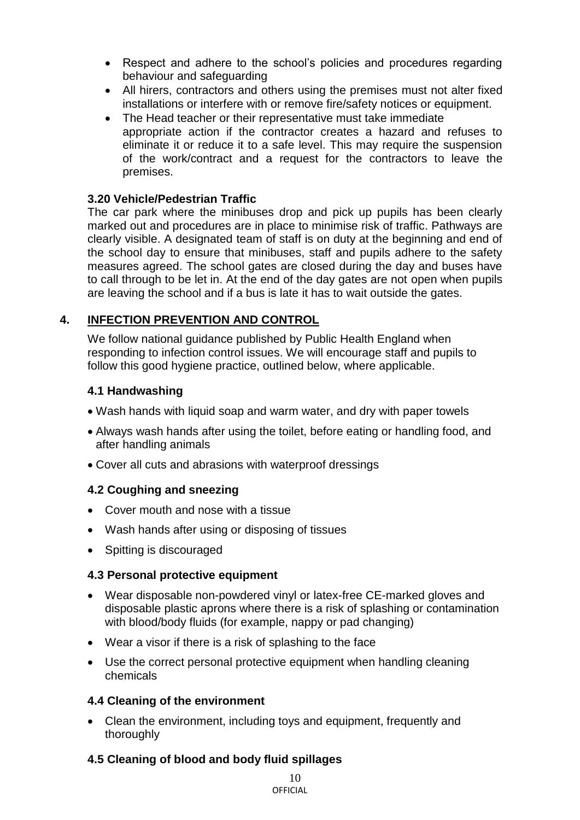- Respect and adhere to the school's policies and procedures regarding behaviour and safeguarding
- All hirers, contractors and others using the premises must not alter fixed installations or interfere with or remove fire/safety notices or equipment.
- The Head teacher or their representative must take immediate appropriate action if the contractor creates a hazard and refuses to eliminate it or reduce it to a safe level. This may require the suspension of the work/contract and a request for the contractors to leave the premises.

# **3.20 Vehicle/Pedestrian Traffic**

The car park where the minibuses drop and pick up pupils has been clearly marked out and procedures are in place to minimise risk of traffic. Pathways are clearly visible. A designated team of staff is on duty at the beginning and end of the school day to ensure that minibuses, staff and pupils adhere to the safety measures agreed. The school gates are closed during the day and buses have to call through to be let in. At the end of the day gates are not open when pupils are leaving the school and if a bus is late it has to wait outside the gates.

# **4. INFECTION PREVENTION AND CONTROL**

We follow national guidance published by Public Health England when responding to infection control issues. We will encourage staff and pupils to follow this good hygiene practice, outlined below, where applicable.

#### **4.1 Handwashing**

- Wash hands with liquid soap and warm water, and dry with paper towels
- Always wash hands after using the toilet, before eating or handling food, and after handling animals
- Cover all cuts and abrasions with waterproof dressings

# **4.2 Coughing and sneezing**

- Cover mouth and nose with a tissue
- Wash hands after using or disposing of tissues
- Spitting is discouraged

# **4.3 Personal protective equipment**

- Wear disposable non-powdered vinyl or latex-free CE-marked gloves and disposable plastic aprons where there is a risk of splashing or contamination with blood/body fluids (for example, nappy or pad changing)
- Wear a visor if there is a risk of splashing to the face
- Use the correct personal protective equipment when handling cleaning chemicals

# **4.4 Cleaning of the environment**

 Clean the environment, including toys and equipment, frequently and thoroughly

# **4.5 Cleaning of blood and body fluid spillages**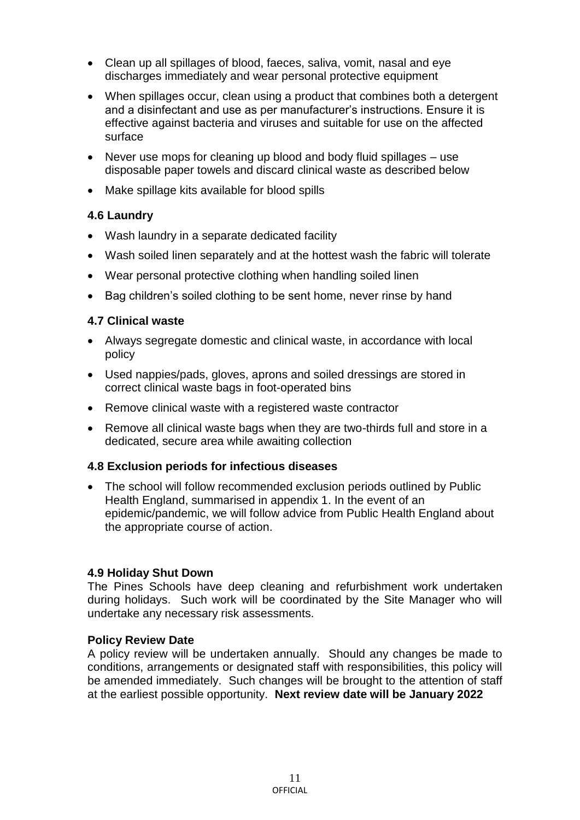- Clean up all spillages of blood, faeces, saliva, vomit, nasal and eye discharges immediately and wear personal protective equipment
- When spillages occur, clean using a product that combines both a detergent and a disinfectant and use as per manufacturer's instructions. Ensure it is effective against bacteria and viruses and suitable for use on the affected surface
- Never use mops for cleaning up blood and body fluid spillages use disposable paper towels and discard clinical waste as described below
- Make spillage kits available for blood spills

#### **4.6 Laundry**

- Wash laundry in a separate dedicated facility
- Wash soiled linen separately and at the hottest wash the fabric will tolerate
- Wear personal protective clothing when handling soiled linen
- Bag children's soiled clothing to be sent home, never rinse by hand

#### **4.7 Clinical waste**

- Always segregate domestic and clinical waste, in accordance with local policy
- Used nappies/pads, gloves, aprons and soiled dressings are stored in correct clinical waste bags in foot-operated bins
- Remove clinical waste with a registered waste contractor
- Remove all clinical waste bags when they are two-thirds full and store in a dedicated, secure area while awaiting collection

#### **4.8 Exclusion periods for infectious diseases**

 The school will follow recommended exclusion periods outlined by Public Health England, summarised in appendix 1. In the event of an epidemic/pandemic, we will follow advice from Public Health England about the appropriate course of action.

#### **4.9 Holiday Shut Down**

The Pines Schools have deep cleaning and refurbishment work undertaken during holidays. Such work will be coordinated by the Site Manager who will undertake any necessary risk assessments.

#### **Policy Review Date**

A policy review will be undertaken annually. Should any changes be made to conditions, arrangements or designated staff with responsibilities, this policy will be amended immediately. Such changes will be brought to the attention of staff at the earliest possible opportunity. **Next review date will be January 2022**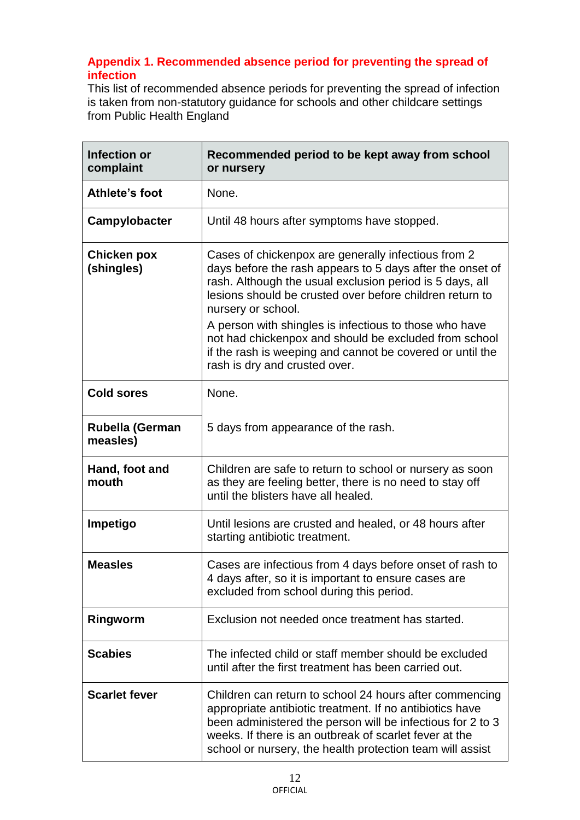# **Appendix 1. Recommended absence period for preventing the spread of infection**

This list of recommended absence periods for preventing the spread of infection is taken from non-statutory guidance for schools and other childcare settings from Public Health England

| <b>Infection or</b><br>complaint   | Recommended period to be kept away from school<br>or nursery                                                                                                                                                                                                                                                                                                                      |
|------------------------------------|-----------------------------------------------------------------------------------------------------------------------------------------------------------------------------------------------------------------------------------------------------------------------------------------------------------------------------------------------------------------------------------|
| Athlete's foot                     | None.                                                                                                                                                                                                                                                                                                                                                                             |
| Campylobacter                      | Until 48 hours after symptoms have stopped.                                                                                                                                                                                                                                                                                                                                       |
| <b>Chicken pox</b><br>(shingles)   | Cases of chickenpox are generally infectious from 2<br>days before the rash appears to 5 days after the onset of<br>rash. Although the usual exclusion period is 5 days, all<br>lesions should be crusted over before children return to<br>nursery or school.<br>A person with shingles is infectious to those who have<br>not had chickenpox and should be excluded from school |
|                                    | if the rash is weeping and cannot be covered or until the<br>rash is dry and crusted over.                                                                                                                                                                                                                                                                                        |
| <b>Cold sores</b>                  | None.                                                                                                                                                                                                                                                                                                                                                                             |
| <b>Rubella (German</b><br>measles) | 5 days from appearance of the rash.                                                                                                                                                                                                                                                                                                                                               |
| Hand, foot and<br>mouth            | Children are safe to return to school or nursery as soon<br>as they are feeling better, there is no need to stay off<br>until the blisters have all healed.                                                                                                                                                                                                                       |
| Impetigo                           | Until lesions are crusted and healed, or 48 hours after<br>starting antibiotic treatment.                                                                                                                                                                                                                                                                                         |
| <b>Measles</b>                     | Cases are infectious from 4 days before onset of rash to<br>4 days after, so it is important to ensure cases are<br>excluded from school during this period.                                                                                                                                                                                                                      |
| Ringworm                           | Exclusion not needed once treatment has started.                                                                                                                                                                                                                                                                                                                                  |
| <b>Scabies</b>                     | The infected child or staff member should be excluded<br>until after the first treatment has been carried out.                                                                                                                                                                                                                                                                    |
| <b>Scarlet fever</b>               | Children can return to school 24 hours after commencing<br>appropriate antibiotic treatment. If no antibiotics have<br>been administered the person will be infectious for 2 to 3<br>weeks. If there is an outbreak of scarlet fever at the<br>school or nursery, the health protection team will assist                                                                          |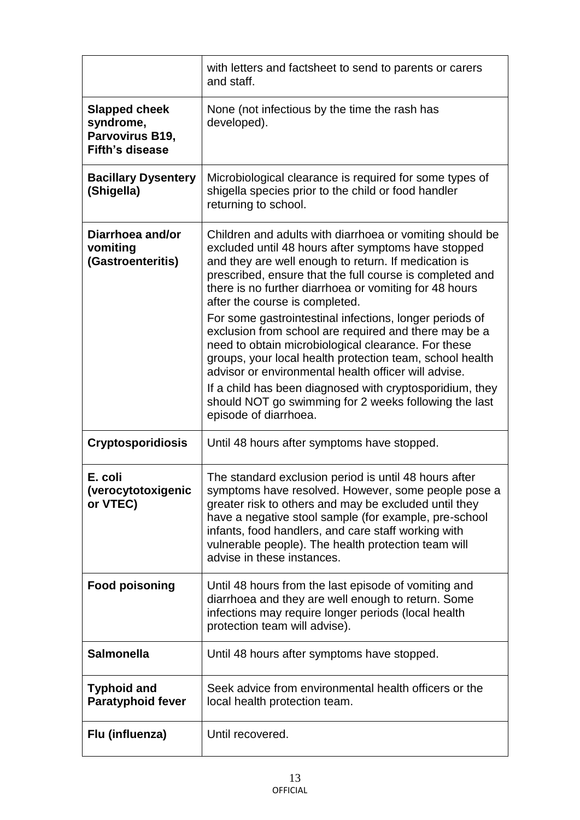|                                                                                | with letters and factsheet to send to parents or carers<br>and staff.                                                                                                                                                                                                                                                                                                      |
|--------------------------------------------------------------------------------|----------------------------------------------------------------------------------------------------------------------------------------------------------------------------------------------------------------------------------------------------------------------------------------------------------------------------------------------------------------------------|
| <b>Slapped cheek</b><br>syndrome,<br>Parvovirus B19,<br><b>Fifth's disease</b> | None (not infectious by the time the rash has<br>developed).                                                                                                                                                                                                                                                                                                               |
| <b>Bacillary Dysentery</b><br>(Shigella)                                       | Microbiological clearance is required for some types of<br>shigella species prior to the child or food handler<br>returning to school.                                                                                                                                                                                                                                     |
| Diarrhoea and/or<br>vomiting<br>(Gastroenteritis)                              | Children and adults with diarrhoea or vomiting should be<br>excluded until 48 hours after symptoms have stopped<br>and they are well enough to return. If medication is<br>prescribed, ensure that the full course is completed and<br>there is no further diarrhoea or vomiting for 48 hours<br>after the course is completed.                                            |
|                                                                                | For some gastrointestinal infections, longer periods of<br>exclusion from school are required and there may be a<br>need to obtain microbiological clearance. For these<br>groups, your local health protection team, school health<br>advisor or environmental health officer will advise.                                                                                |
|                                                                                | If a child has been diagnosed with cryptosporidium, they<br>should NOT go swimming for 2 weeks following the last<br>episode of diarrhoea.                                                                                                                                                                                                                                 |
| <b>Cryptosporidiosis</b>                                                       | Until 48 hours after symptoms have stopped.                                                                                                                                                                                                                                                                                                                                |
| E. coli<br>(verocytotoxigenic<br>or VTEC)                                      | The standard exclusion period is until 48 hours after<br>symptoms have resolved. However, some people pose a<br>greater risk to others and may be excluded until they<br>have a negative stool sample (for example, pre-school<br>infants, food handlers, and care staff working with<br>vulnerable people). The health protection team will<br>advise in these instances. |
| <b>Food poisoning</b>                                                          | Until 48 hours from the last episode of vomiting and<br>diarrhoea and they are well enough to return. Some<br>infections may require longer periods (local health<br>protection team will advise).                                                                                                                                                                         |
| <b>Salmonella</b>                                                              | Until 48 hours after symptoms have stopped.                                                                                                                                                                                                                                                                                                                                |
| <b>Typhoid and</b><br><b>Paratyphoid fever</b>                                 | Seek advice from environmental health officers or the<br>local health protection team.                                                                                                                                                                                                                                                                                     |
| Flu (influenza)                                                                | Until recovered.                                                                                                                                                                                                                                                                                                                                                           |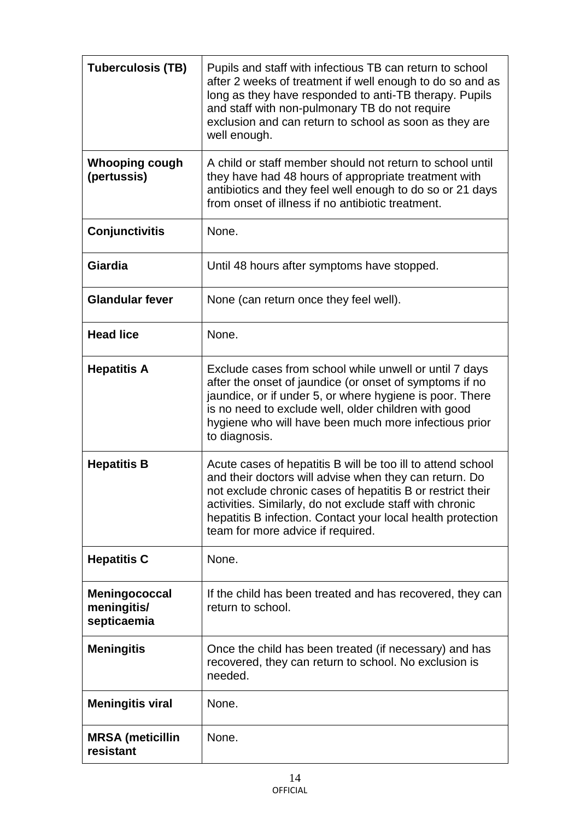| <b>Tuberculosis (TB)</b>                    | Pupils and staff with infectious TB can return to school<br>after 2 weeks of treatment if well enough to do so and as<br>long as they have responded to anti-TB therapy. Pupils<br>and staff with non-pulmonary TB do not require<br>exclusion and can return to school as soon as they are<br>well enough.                                         |
|---------------------------------------------|-----------------------------------------------------------------------------------------------------------------------------------------------------------------------------------------------------------------------------------------------------------------------------------------------------------------------------------------------------|
| <b>Whooping cough</b><br>(pertussis)        | A child or staff member should not return to school until<br>they have had 48 hours of appropriate treatment with<br>antibiotics and they feel well enough to do so or 21 days<br>from onset of illness if no antibiotic treatment.                                                                                                                 |
| <b>Conjunctivitis</b>                       | None.                                                                                                                                                                                                                                                                                                                                               |
| Giardia                                     | Until 48 hours after symptoms have stopped.                                                                                                                                                                                                                                                                                                         |
| <b>Glandular fever</b>                      | None (can return once they feel well).                                                                                                                                                                                                                                                                                                              |
| <b>Head lice</b>                            | None.                                                                                                                                                                                                                                                                                                                                               |
| <b>Hepatitis A</b>                          | Exclude cases from school while unwell or until 7 days<br>after the onset of jaundice (or onset of symptoms if no<br>jaundice, or if under 5, or where hygiene is poor. There<br>is no need to exclude well, older children with good<br>hygiene who will have been much more infectious prior<br>to diagnosis.                                     |
| <b>Hepatitis B</b>                          | Acute cases of hepatitis B will be too ill to attend school<br>and their doctors will advise when they can return. Do<br>not exclude chronic cases of hepatitis B or restrict their<br>activities. Similarly, do not exclude staff with chronic<br>hepatitis B infection. Contact your local health protection<br>team for more advice if required. |
| <b>Hepatitis C</b>                          | None.                                                                                                                                                                                                                                                                                                                                               |
| Meningococcal<br>meningitis/<br>septicaemia | If the child has been treated and has recovered, they can<br>return to school.                                                                                                                                                                                                                                                                      |
| <b>Meningitis</b>                           | Once the child has been treated (if necessary) and has<br>recovered, they can return to school. No exclusion is<br>needed.                                                                                                                                                                                                                          |
| <b>Meningitis viral</b>                     | None.                                                                                                                                                                                                                                                                                                                                               |
| <b>MRSA</b> (meticillin<br>resistant        | None.                                                                                                                                                                                                                                                                                                                                               |